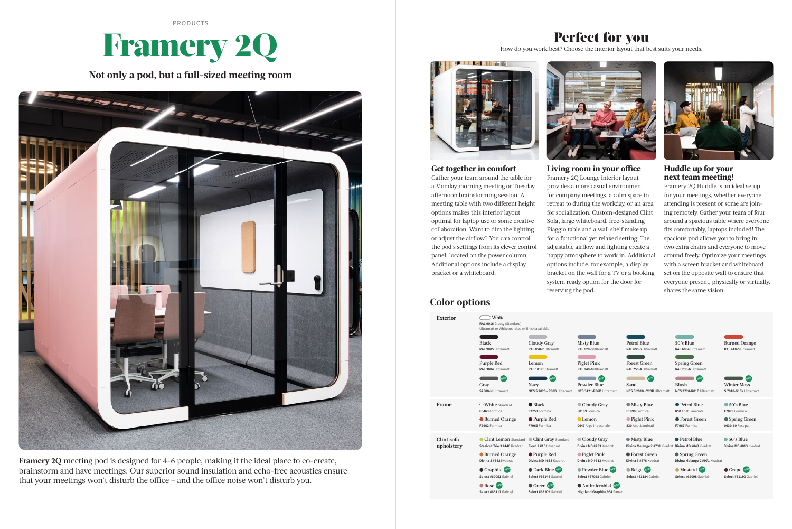# Framery 2Q

PRODUCTS

**Not only a pod, but a full-sized meeting room**



**Framery 2Q** meeting pod is designed for 4-6 people, making it the ideal place to co-create, brainstorm and have meetings. Our superior sound insulation and echo-free acoustics ensure that your meetings won't disturb the office – and the office noise won't disturb you.

### **Get together in comfort**

Gather your team around the table for a Monday morning meeting or Tuesday afternoon brainstorming session. A meeting table with two different height options makes this interior layout optimal for laptop use or some creative collaboration. Want to dim the lighting or adjust the airflow? You can control the pod's settings from its clever control panel, located on the power column. Additional options include a display bracket or a whiteboard.



## Perfect for you



How do you work best? Choose the interior layout that best suits your needs.



Petrol Blue **Divina MD #843** Kvadrat

● Spring Green **Divina Melange 2 #971 Kvadrat** 

**Mustard** Select #62098 Gabrie

**Living room in your office** Framery 2Q Lounge interior layout provides a more casual environment for company meetings, a calm space to retreat to during the workday, or an area for socialization. Custom-designed Clint Sofa, large whiteboard, free-standing Piaggio table and a wall shelf make up for a functional yet relaxed setting. The adjustable airflow and lighting create a happy atmosphere to work in. Additional options include, for example, a display bracket on the wall for a TV or a booking system ready option for the door for reserving the pod.

> Petrol Blue **RAL 690-6 Ultrama**

Forest Green **RAL 750-4 Ultra** 

**Huddle up for your next team meeting!**

> ● Petrol Blue **850** Abet Laminati

Framery 2Q Huddle is an ideal setup for your meetings, whether everyone attending is present or some are joining remotely. Gather your team of four around a spacious table where everyone fits comfortably, laptops included! The spacious pod allows you to bring in two extra chairs and everyone to move around freely. Optimize your meetings with a screen bracket and whiteboard set on the opposite wall to ensure that everyone present, physically or virtually, shares the same vision.

Blush **NCS 2728-R01B Ultramat NEW** 

 Forest Green **Divina 3 #876** Kvadrat  50's Blue **Divina MD #813** Kvadrat

### **Color options**

 Antimicrobial **NEW Highland Graphite 954** Panaz 50's Blue **RAL 6034** Ultramatt Burned Orange **RAL 410-5** Ultramatt

Spring Green **RAL 230-6** Ultramatt

 Piglet Pink **830** Abet Laminati

**Misty Blue Divina Melange 2 #731 Kva**   Forest Green **F7967** Formica

 Spring Green **0630-60** Resopal

 Misty Blue **F1998** Formica

 50's Blue **F7879** Formica

 Beige **NEW Select #61184** Gabriel



 Grape **NEWSelect #61190** Gabriel

Sand **NCS S 2010 - Y20R U NEW**

Winter Moss **S 7010-G10Y Ultram NEW**